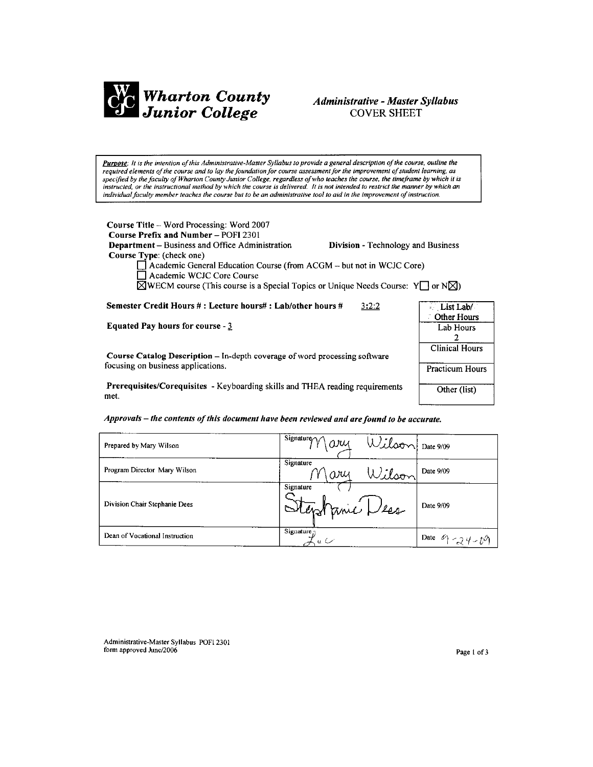

# Administrative - Master Syllabus **COVER SHEET**

Purpose: It is the intention of this Administrative-Master Syllabus to provide a general description of the course, outline the required elements of the course and to lay the foundation for course assessment for the improvement of student learning, as specified by the faculty of Wharton County Junior College, regardless of who teaches the course, the timeframe by which it is instructed, or the instructional method by which the course is delivered. It is not intended to restrict the manner by which an individual faculty member teaches the course but to be an administrative tool to aid in the improvement of instruction.

Course Title - Word Processing: Word 2007 Course Prefix and Number - POFI 2301 Department - Business and Office Administration Division - Technology and Business Course Type: (check one) △ Academic General Education Course (from ACGM – but not in WCJC Core)<br>
△ Academic WCJC Core Course  $\boxtimes$ WECM course (This course is a Special Topics or Unique Needs Course: Y $\Box$  or N $\boxtimes$ )

Semester Credit Hours #: Lecture hours#: Lab/other hours #  $3:2:2$ 

Equated Pay hours for course -  $3$ 

Course Catalog Description - In-depth coverage of word processing software focusing on business applications.

Prerequisites/Corequisites - Keyboarding skills and THEA reading requirements met.



| Prepared by Mary Wilson        | $1$ Signature $\gamma \gamma \alpha \nu$<br>Wilson Date 9/09 |                    |
|--------------------------------|--------------------------------------------------------------|--------------------|
| Program Director Mary Wilson   | Signature<br>Wilson<br>ary                                   | Date 9/09          |
| Division Chair Stephanie Dees  | Signature<br>Stephanic Dess                                  | Date 9/09          |
| Dean of Vocational Instruction | Signature <sub>.7</sub><br>$u \subset$                       | Date $9 - 24 - 69$ |

Administrative-Master Syllabus POFI 2301 form approved June/2006

Page 1 of 3

List Lab/ **Other Hours** 

Lab Hours  $\overline{2}$ **Clinical Hours** 

**Practicum Hours** 

Other (list)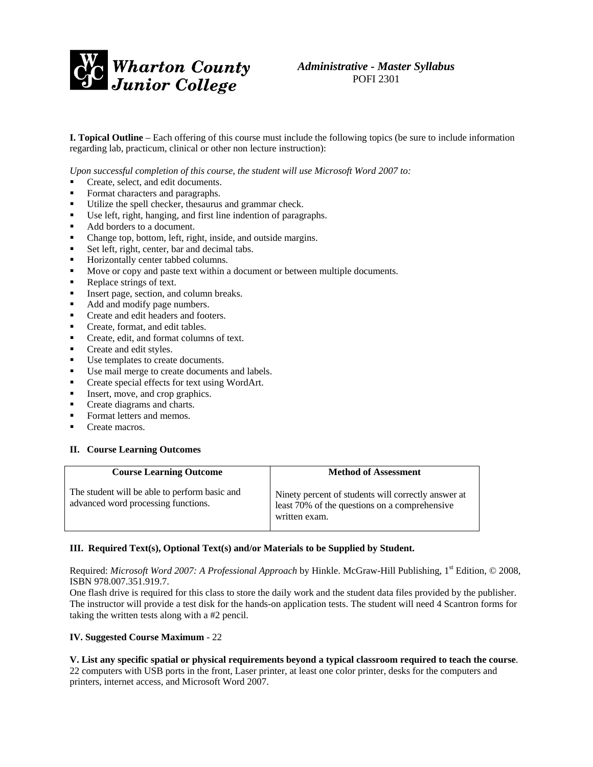

*Administrative - Master Syllabus*  POFI 2301

**I. Topical Outline** – Each offering of this course must include the following topics (be sure to include information regarding lab, practicum, clinical or other non lecture instruction):

*Upon successful completion of this course, the student will use Microsoft Word 2007 to:* 

- Create, select, and edit documents.
- Format characters and paragraphs.
- Utilize the spell checker, thesaurus and grammar check.
- Use left, right, hanging, and first line indention of paragraphs.
- Add borders to a document.
- Change top, bottom, left, right, inside, and outside margins.
- Set left, right, center, bar and decimal tabs.
- **Horizontally center tabbed columns.**
- Move or copy and paste text within a document or between multiple documents.
- Replace strings of text.
- Insert page, section, and column breaks.
- Add and modify page numbers.
- Create and edit headers and footers.
- Create, format, and edit tables.
- Create, edit, and format columns of text.
- Create and edit styles.
- Use templates to create documents.
- Use mail merge to create documents and labels.
- Create special effects for text using WordArt.
- Insert, move, and crop graphics.
- Create diagrams and charts.
- Format letters and memos.
- Create macros.

#### **II. Course Learning Outcomes**

| <b>Course Learning Outcome</b>                                                       | <b>Method of Assessment</b>                                                                                           |
|--------------------------------------------------------------------------------------|-----------------------------------------------------------------------------------------------------------------------|
| The student will be able to perform basic and<br>advanced word processing functions. | Ninety percent of students will correctly answer at<br>least 70% of the questions on a comprehensive<br>written exam. |

#### **III. Required Text(s), Optional Text(s) and/or Materials to be Supplied by Student.**

Required: *Microsoft Word 2007: A Professional Approach* by Hinkle. McGraw-Hill Publishing, 1st Edition, © 2008, ISBN 978.007.351.919.7.

One flash drive is required for this class to store the daily work and the student data files provided by the publisher. The instructor will provide a test disk for the hands-on application tests. The student will need 4 Scantron forms for taking the written tests along with a #2 pencil.

#### **IV. Suggested Course Maximum** - 22

**V. List any specific spatial or physical requirements beyond a typical classroom required to teach the course**. 22 computers with USB ports in the front, Laser printer, at least one color printer, desks for the computers and printers, internet access, and Microsoft Word 2007.